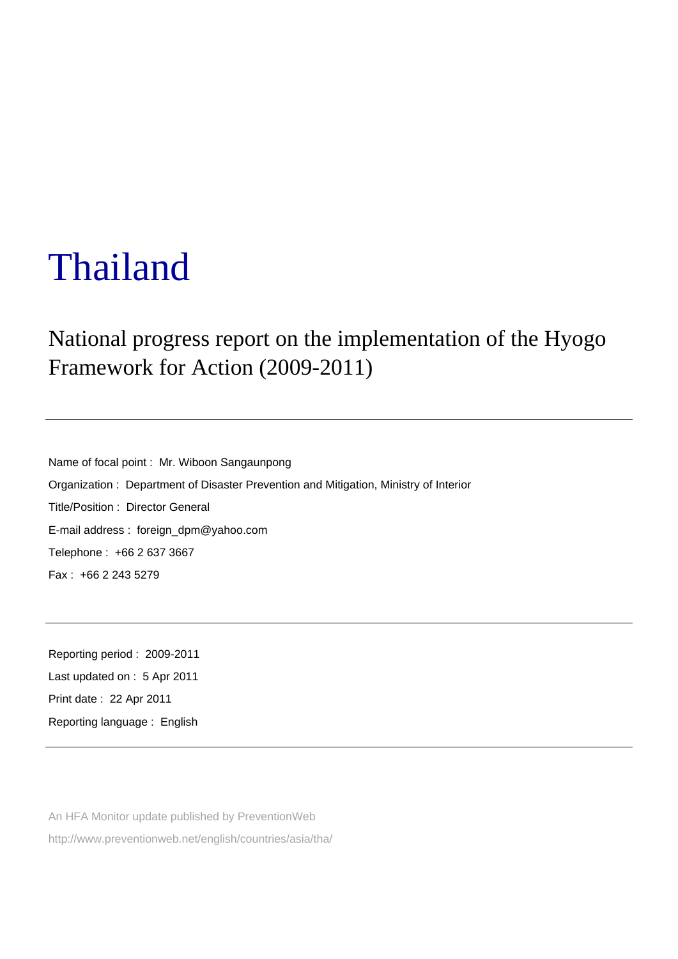# Thailand

## National progress report on the implementation of the Hyogo Framework for Action (2009-2011)

Name of focal point : Mr. Wiboon Sangaunpong Organization : Department of Disaster Prevention and Mitigation, Ministry of Interior Title/Position : Director General E-mail address : foreign\_dpm@yahoo.com Telephone : +66 2 637 3667 Fax : +66 2 243 5279

Reporting period : 2009-2011 Last updated on : 5 Apr 2011 Print date : 22 Apr 2011 Reporting language : English

An HFA Monitor update published by PreventionWeb http://www.preventionweb.net/english/countries/asia/tha/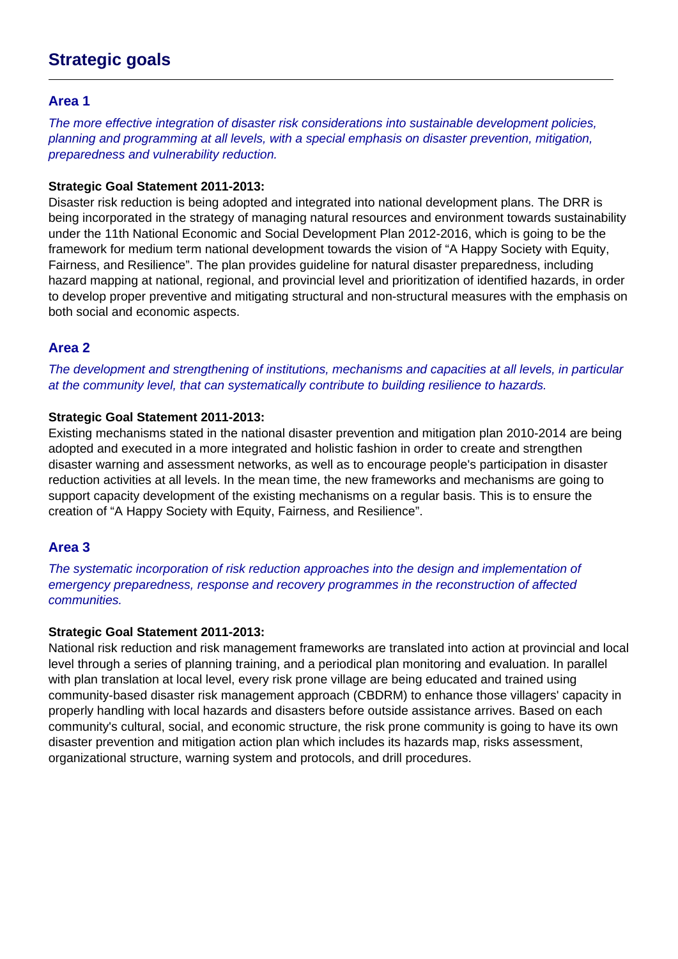## **Strategic goals**

#### **Area 1**

The more effective integration of disaster risk considerations into sustainable development policies, planning and programming at all levels, with a special emphasis on disaster prevention, mitigation, preparedness and vulnerability reduction.

#### **Strategic Goal Statement 2011-2013:**

Disaster risk reduction is being adopted and integrated into national development plans. The DRR is being incorporated in the strategy of managing natural resources and environment towards sustainability under the 11th National Economic and Social Development Plan 2012-2016, which is going to be the framework for medium term national development towards the vision of "A Happy Society with Equity, Fairness, and Resilience". The plan provides guideline for natural disaster preparedness, including hazard mapping at national, regional, and provincial level and prioritization of identified hazards, in order to develop proper preventive and mitigating structural and non-structural measures with the emphasis on both social and economic aspects.

#### **Area 2**

The development and strengthening of institutions, mechanisms and capacities at all levels, in particular at the community level, that can systematically contribute to building resilience to hazards.

#### **Strategic Goal Statement 2011-2013:**

Existing mechanisms stated in the national disaster prevention and mitigation plan 2010-2014 are being adopted and executed in a more integrated and holistic fashion in order to create and strengthen disaster warning and assessment networks, as well as to encourage people's participation in disaster reduction activities at all levels. In the mean time, the new frameworks and mechanisms are going to support capacity development of the existing mechanisms on a regular basis. This is to ensure the creation of "A Happy Society with Equity, Fairness, and Resilience".

#### **Area 3**

The systematic incorporation of risk reduction approaches into the design and implementation of emergency preparedness, response and recovery programmes in the reconstruction of affected communities.

#### **Strategic Goal Statement 2011-2013:**

National risk reduction and risk management frameworks are translated into action at provincial and local level through a series of planning training, and a periodical plan monitoring and evaluation. In parallel with plan translation at local level, every risk prone village are being educated and trained using community-based disaster risk management approach (CBDRM) to enhance those villagers' capacity in properly handling with local hazards and disasters before outside assistance arrives. Based on each community's cultural, social, and economic structure, the risk prone community is going to have its own disaster prevention and mitigation action plan which includes its hazards map, risks assessment, organizational structure, warning system and protocols, and drill procedures.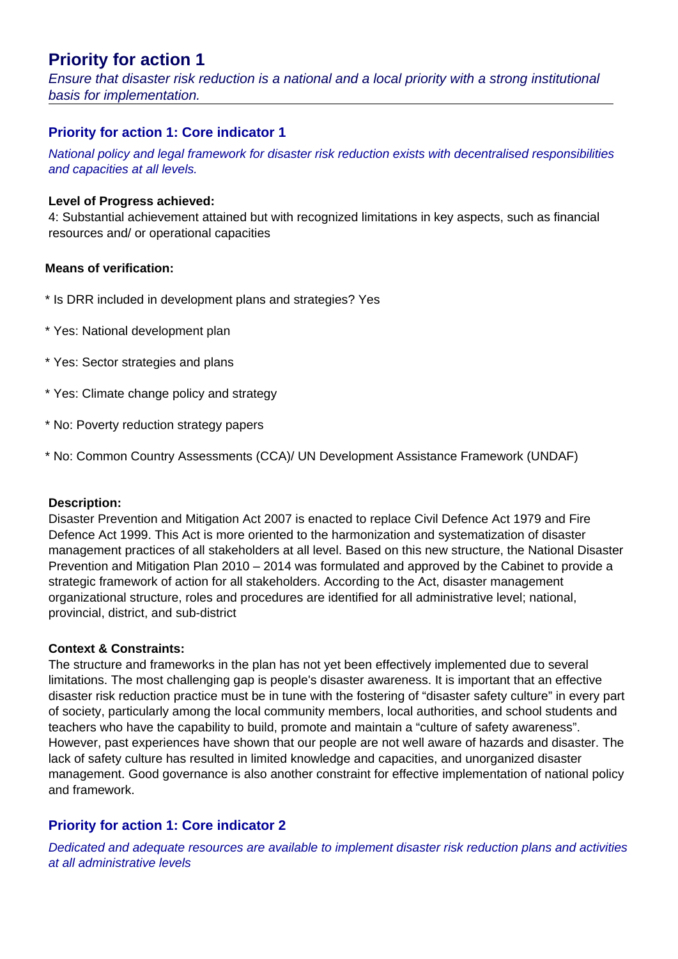## **Priority for action 1**

Ensure that disaster risk reduction is a national and a local priority with a strong institutional basis for implementation.

#### **Priority for action 1: Core indicator 1**

National policy and legal framework for disaster risk reduction exists with decentralised responsibilities and capacities at all levels.

#### **Level of Progress achieved:**

4: Substantial achievement attained but with recognized limitations in key aspects, such as financial resources and/ or operational capacities

#### **Means of verification:**

- \* Is DRR included in development plans and strategies? Yes
- \* Yes: National development plan
- \* Yes: Sector strategies and plans
- \* Yes: Climate change policy and strategy
- \* No: Poverty reduction strategy papers
- \* No: Common Country Assessments (CCA)/ UN Development Assistance Framework (UNDAF)

#### **Description:**

Disaster Prevention and Mitigation Act 2007 is enacted to replace Civil Defence Act 1979 and Fire Defence Act 1999. This Act is more oriented to the harmonization and systematization of disaster management practices of all stakeholders at all level. Based on this new structure, the National Disaster Prevention and Mitigation Plan 2010 – 2014 was formulated and approved by the Cabinet to provide a strategic framework of action for all stakeholders. According to the Act, disaster management organizational structure, roles and procedures are identified for all administrative level; national, provincial, district, and sub-district

#### **Context & Constraints:**

The structure and frameworks in the plan has not yet been effectively implemented due to several limitations. The most challenging gap is people's disaster awareness. It is important that an effective disaster risk reduction practice must be in tune with the fostering of "disaster safety culture" in every part of society, particularly among the local community members, local authorities, and school students and teachers who have the capability to build, promote and maintain a "culture of safety awareness". However, past experiences have shown that our people are not well aware of hazards and disaster. The lack of safety culture has resulted in limited knowledge and capacities, and unorganized disaster management. Good governance is also another constraint for effective implementation of national policy and framework.

#### **Priority for action 1: Core indicator 2**

Dedicated and adequate resources are available to implement disaster risk reduction plans and activities at all administrative levels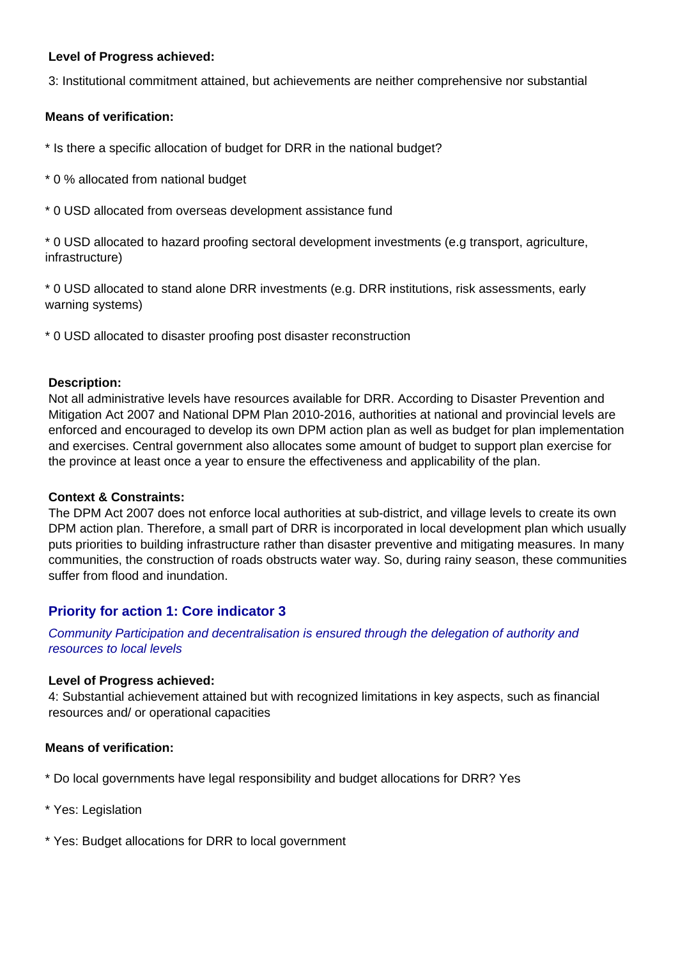#### **Level of Progress achieved:**

3: Institutional commitment attained, but achievements are neither comprehensive nor substantial

#### **Means of verification:**

\* Is there a specific allocation of budget for DRR in the national budget?

- \* 0 % allocated from national budget
- \* 0 USD allocated from overseas development assistance fund

\* 0 USD allocated to hazard proofing sectoral development investments (e.g transport, agriculture, infrastructure)

\* 0 USD allocated to stand alone DRR investments (e.g. DRR institutions, risk assessments, early warning systems)

\* 0 USD allocated to disaster proofing post disaster reconstruction

#### **Description:**

Not all administrative levels have resources available for DRR. According to Disaster Prevention and Mitigation Act 2007 and National DPM Plan 2010-2016, authorities at national and provincial levels are enforced and encouraged to develop its own DPM action plan as well as budget for plan implementation and exercises. Central government also allocates some amount of budget to support plan exercise for the province at least once a year to ensure the effectiveness and applicability of the plan.

#### **Context & Constraints:**

The DPM Act 2007 does not enforce local authorities at sub-district, and village levels to create its own DPM action plan. Therefore, a small part of DRR is incorporated in local development plan which usually puts priorities to building infrastructure rather than disaster preventive and mitigating measures. In many communities, the construction of roads obstructs water way. So, during rainy season, these communities suffer from flood and inundation.

#### **Priority for action 1: Core indicator 3**

Community Participation and decentralisation is ensured through the delegation of authority and resources to local levels

#### **Level of Progress achieved:**

4: Substantial achievement attained but with recognized limitations in key aspects, such as financial resources and/ or operational capacities

#### **Means of verification:**

- \* Do local governments have legal responsibility and budget allocations for DRR? Yes
- \* Yes: Legislation
- \* Yes: Budget allocations for DRR to local government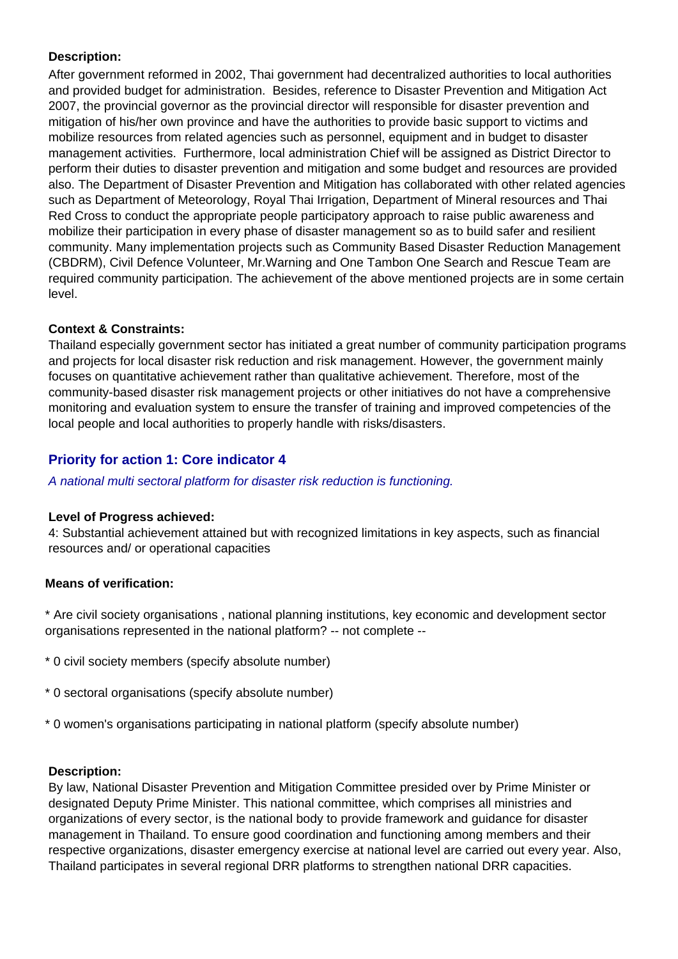#### **Description:**

After government reformed in 2002, Thai government had decentralized authorities to local authorities and provided budget for administration. Besides, reference to Disaster Prevention and Mitigation Act 2007, the provincial governor as the provincial director will responsible for disaster prevention and mitigation of his/her own province and have the authorities to provide basic support to victims and mobilize resources from related agencies such as personnel, equipment and in budget to disaster management activities. Furthermore, local administration Chief will be assigned as District Director to perform their duties to disaster prevention and mitigation and some budget and resources are provided also. The Department of Disaster Prevention and Mitigation has collaborated with other related agencies such as Department of Meteorology, Royal Thai Irrigation, Department of Mineral resources and Thai Red Cross to conduct the appropriate people participatory approach to raise public awareness and mobilize their participation in every phase of disaster management so as to build safer and resilient community. Many implementation projects such as Community Based Disaster Reduction Management (CBDRM), Civil Defence Volunteer, Mr.Warning and One Tambon One Search and Rescue Team are required community participation. The achievement of the above mentioned projects are in some certain level.

#### **Context & Constraints:**

Thailand especially government sector has initiated a great number of community participation programs and projects for local disaster risk reduction and risk management. However, the government mainly focuses on quantitative achievement rather than qualitative achievement. Therefore, most of the community-based disaster risk management projects or other initiatives do not have a comprehensive monitoring and evaluation system to ensure the transfer of training and improved competencies of the local people and local authorities to properly handle with risks/disasters.

#### **Priority for action 1: Core indicator 4**

A national multi sectoral platform for disaster risk reduction is functioning.

#### **Level of Progress achieved:**

4: Substantial achievement attained but with recognized limitations in key aspects, such as financial resources and/ or operational capacities

#### **Means of verification:**

\* Are civil society organisations , national planning institutions, key economic and development sector organisations represented in the national platform? -- not complete --

- \* 0 civil society members (specify absolute number)
- \* 0 sectoral organisations (specify absolute number)
- \* 0 women's organisations participating in national platform (specify absolute number)

#### **Description:**

By law, National Disaster Prevention and Mitigation Committee presided over by Prime Minister or designated Deputy Prime Minister. This national committee, which comprises all ministries and organizations of every sector, is the national body to provide framework and guidance for disaster management in Thailand. To ensure good coordination and functioning among members and their respective organizations, disaster emergency exercise at national level are carried out every year. Also, Thailand participates in several regional DRR platforms to strengthen national DRR capacities.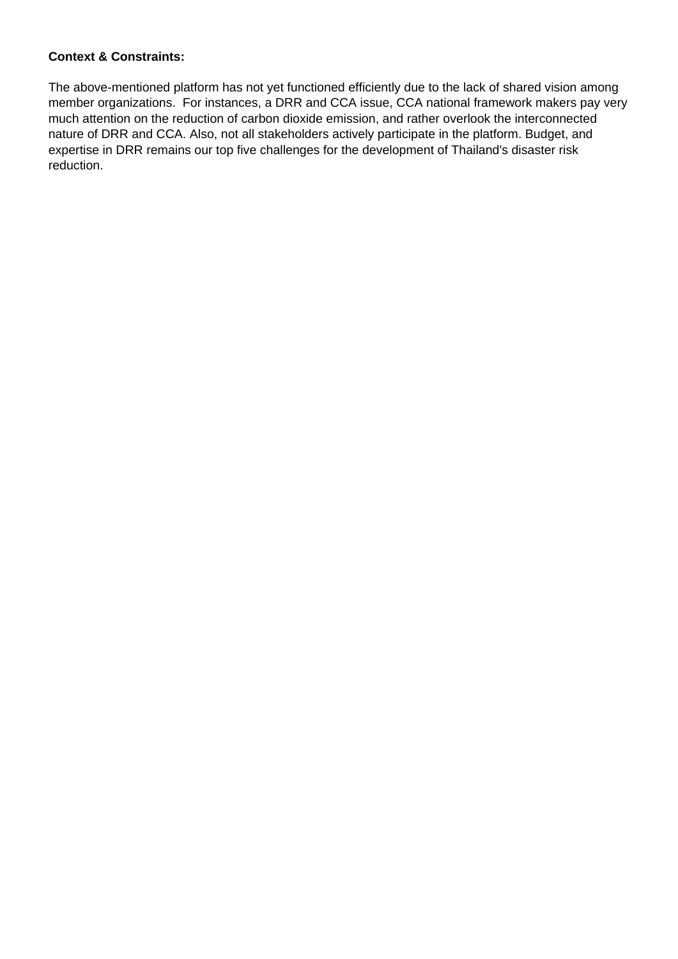#### **Context & Constraints:**

The above-mentioned platform has not yet functioned efficiently due to the lack of shared vision among member organizations. For instances, a DRR and CCA issue, CCA national framework makers pay very much attention on the reduction of carbon dioxide emission, and rather overlook the interconnected nature of DRR and CCA. Also, not all stakeholders actively participate in the platform. Budget, and expertise in DRR remains our top five challenges for the development of Thailand's disaster risk reduction.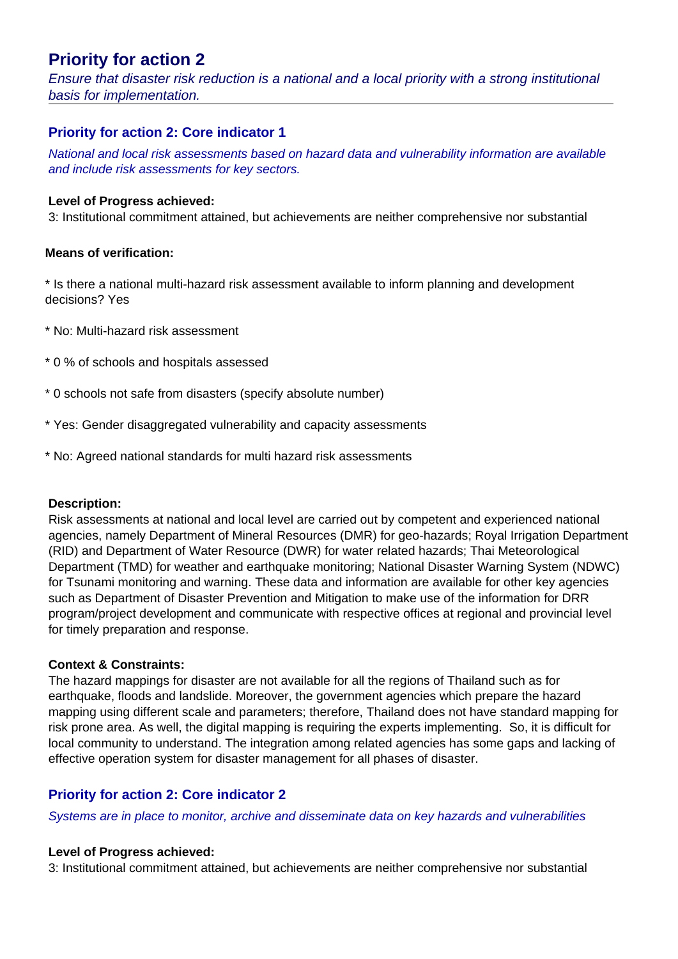## **Priority for action 2**

Ensure that disaster risk reduction is a national and a local priority with a strong institutional basis for implementation.

#### **Priority for action 2: Core indicator 1**

National and local risk assessments based on hazard data and vulnerability information are available and include risk assessments for key sectors.

#### **Level of Progress achieved:**

3: Institutional commitment attained, but achievements are neither comprehensive nor substantial

#### **Means of verification:**

\* Is there a national multi-hazard risk assessment available to inform planning and development decisions? Yes

- \* No: Multi-hazard risk assessment
- \* 0 % of schools and hospitals assessed
- \* 0 schools not safe from disasters (specify absolute number)
- \* Yes: Gender disaggregated vulnerability and capacity assessments
- \* No: Agreed national standards for multi hazard risk assessments

#### **Description:**

Risk assessments at national and local level are carried out by competent and experienced national agencies, namely Department of Mineral Resources (DMR) for geo-hazards; Royal Irrigation Department (RID) and Department of Water Resource (DWR) for water related hazards; Thai Meteorological Department (TMD) for weather and earthquake monitoring; National Disaster Warning System (NDWC) for Tsunami monitoring and warning. These data and information are available for other key agencies such as Department of Disaster Prevention and Mitigation to make use of the information for DRR program/project development and communicate with respective offices at regional and provincial level for timely preparation and response.

#### **Context & Constraints:**

The hazard mappings for disaster are not available for all the regions of Thailand such as for earthquake, floods and landslide. Moreover, the government agencies which prepare the hazard mapping using different scale and parameters; therefore, Thailand does not have standard mapping for risk prone area. As well, the digital mapping is requiring the experts implementing. So, it is difficult for local community to understand. The integration among related agencies has some gaps and lacking of effective operation system for disaster management for all phases of disaster.

#### **Priority for action 2: Core indicator 2**

Systems are in place to monitor, archive and disseminate data on key hazards and vulnerabilities

#### **Level of Progress achieved:**

3: Institutional commitment attained, but achievements are neither comprehensive nor substantial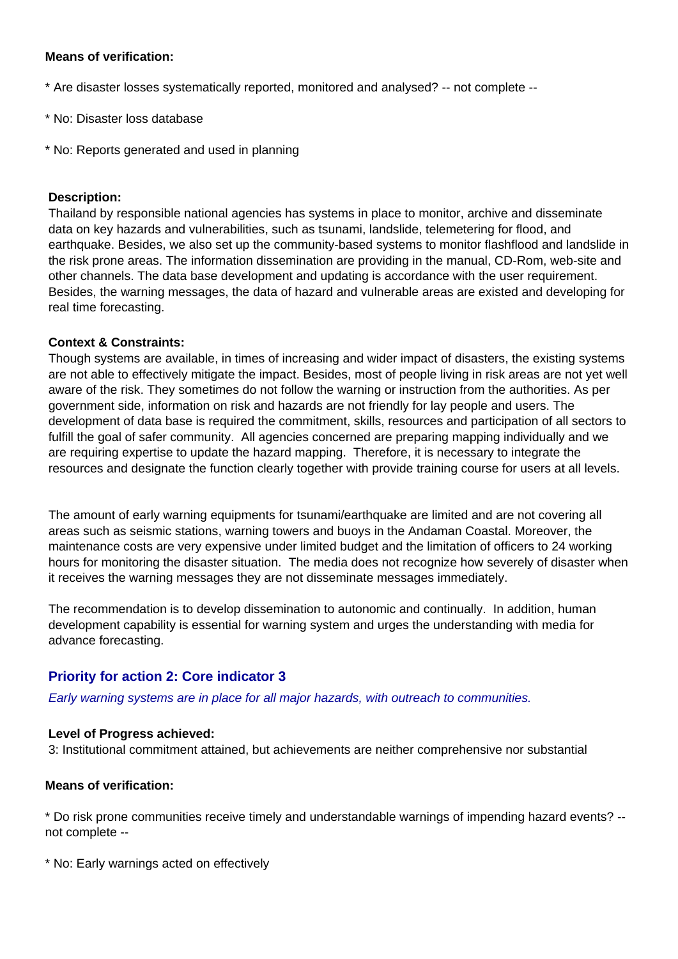#### **Means of verification:**

- \* Are disaster losses systematically reported, monitored and analysed? -- not complete --
- \* No: Disaster loss database
- \* No: Reports generated and used in planning

#### **Description:**

Thailand by responsible national agencies has systems in place to monitor, archive and disseminate data on key hazards and vulnerabilities, such as tsunami, landslide, telemetering for flood, and earthquake. Besides, we also set up the community-based systems to monitor flashflood and landslide in the risk prone areas. The information dissemination are providing in the manual, CD-Rom, web-site and other channels. The data base development and updating is accordance with the user requirement. Besides, the warning messages, the data of hazard and vulnerable areas are existed and developing for real time forecasting.

#### **Context & Constraints:**

Though systems are available, in times of increasing and wider impact of disasters, the existing systems are not able to effectively mitigate the impact. Besides, most of people living in risk areas are not yet well aware of the risk. They sometimes do not follow the warning or instruction from the authorities. As per government side, information on risk and hazards are not friendly for lay people and users. The development of data base is required the commitment, skills, resources and participation of all sectors to fulfill the goal of safer community. All agencies concerned are preparing mapping individually and we are requiring expertise to update the hazard mapping. Therefore, it is necessary to integrate the resources and designate the function clearly together with provide training course for users at all levels.

The amount of early warning equipments for tsunami/earthquake are limited and are not covering all areas such as seismic stations, warning towers and buoys in the Andaman Coastal. Moreover, the maintenance costs are very expensive under limited budget and the limitation of officers to 24 working hours for monitoring the disaster situation. The media does not recognize how severely of disaster when it receives the warning messages they are not disseminate messages immediately.

The recommendation is to develop dissemination to autonomic and continually. In addition, human development capability is essential for warning system and urges the understanding with media for advance forecasting.

#### **Priority for action 2: Core indicator 3**

Early warning systems are in place for all major hazards, with outreach to communities.

#### **Level of Progress achieved:**

3: Institutional commitment attained, but achievements are neither comprehensive nor substantial

#### **Means of verification:**

\* Do risk prone communities receive timely and understandable warnings of impending hazard events? - not complete --

\* No: Early warnings acted on effectively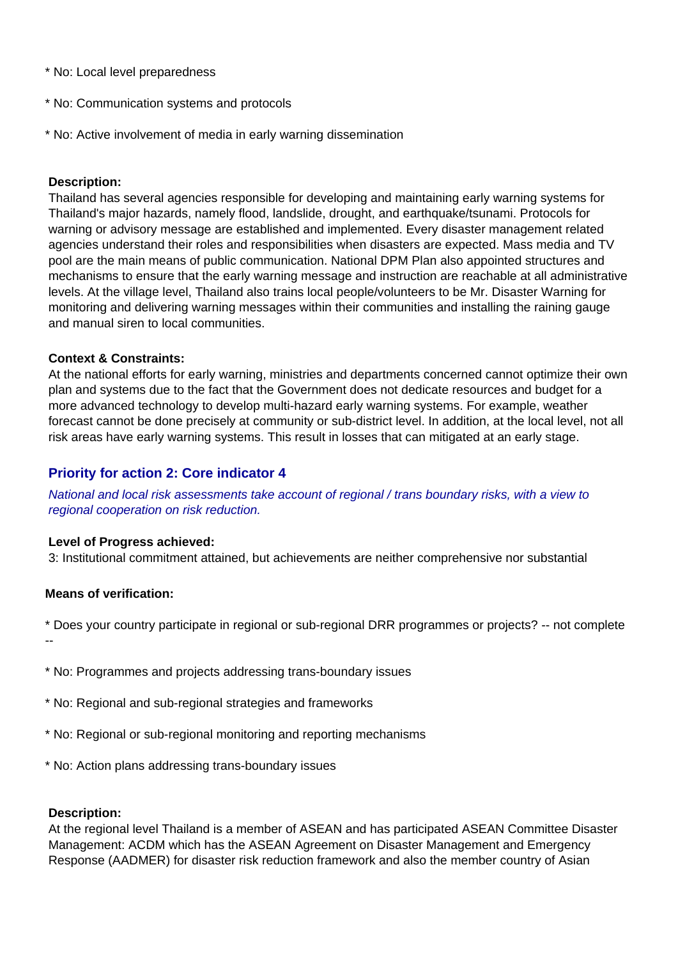- \* No: Local level preparedness
- \* No: Communication systems and protocols
- \* No: Active involvement of media in early warning dissemination

#### **Description:**

Thailand has several agencies responsible for developing and maintaining early warning systems for Thailand's major hazards, namely flood, landslide, drought, and earthquake/tsunami. Protocols for warning or advisory message are established and implemented. Every disaster management related agencies understand their roles and responsibilities when disasters are expected. Mass media and TV pool are the main means of public communication. National DPM Plan also appointed structures and mechanisms to ensure that the early warning message and instruction are reachable at all administrative levels. At the village level, Thailand also trains local people/volunteers to be Mr. Disaster Warning for monitoring and delivering warning messages within their communities and installing the raining gauge and manual siren to local communities.

#### **Context & Constraints:**

At the national efforts for early warning, ministries and departments concerned cannot optimize their own plan and systems due to the fact that the Government does not dedicate resources and budget for a more advanced technology to develop multi-hazard early warning systems. For example, weather forecast cannot be done precisely at community or sub-district level. In addition, at the local level, not all risk areas have early warning systems. This result in losses that can mitigated at an early stage.

#### **Priority for action 2: Core indicator 4**

National and local risk assessments take account of regional / trans boundary risks, with a view to regional cooperation on risk reduction.

#### **Level of Progress achieved:**

3: Institutional commitment attained, but achievements are neither comprehensive nor substantial

#### **Means of verification:**

\* Does your country participate in regional or sub-regional DRR programmes or projects? -- not complete

--

- \* No: Programmes and projects addressing trans-boundary issues
- \* No: Regional and sub-regional strategies and frameworks
- \* No: Regional or sub-regional monitoring and reporting mechanisms
- \* No: Action plans addressing trans-boundary issues

#### **Description:**

At the regional level Thailand is a member of ASEAN and has participated ASEAN Committee Disaster Management: ACDM which has the ASEAN Agreement on Disaster Management and Emergency Response (AADMER) for disaster risk reduction framework and also the member country of Asian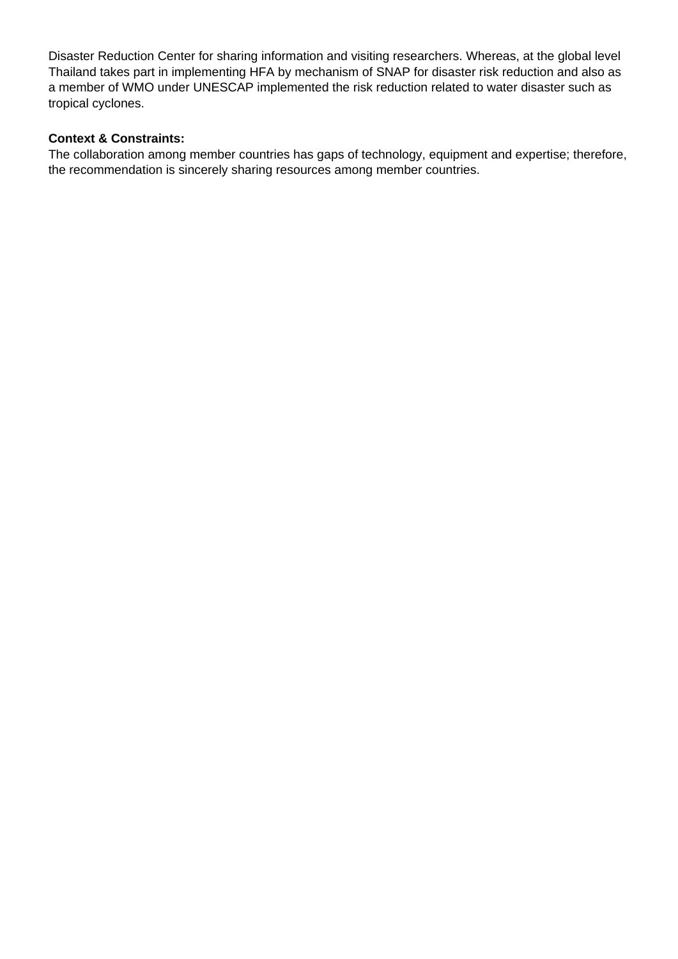Disaster Reduction Center for sharing information and visiting researchers. Whereas, at the global level Thailand takes part in implementing HFA by mechanism of SNAP for disaster risk reduction and also as a member of WMO under UNESCAP implemented the risk reduction related to water disaster such as tropical cyclones.

#### **Context & Constraints:**

The collaboration among member countries has gaps of technology, equipment and expertise; therefore, the recommendation is sincerely sharing resources among member countries.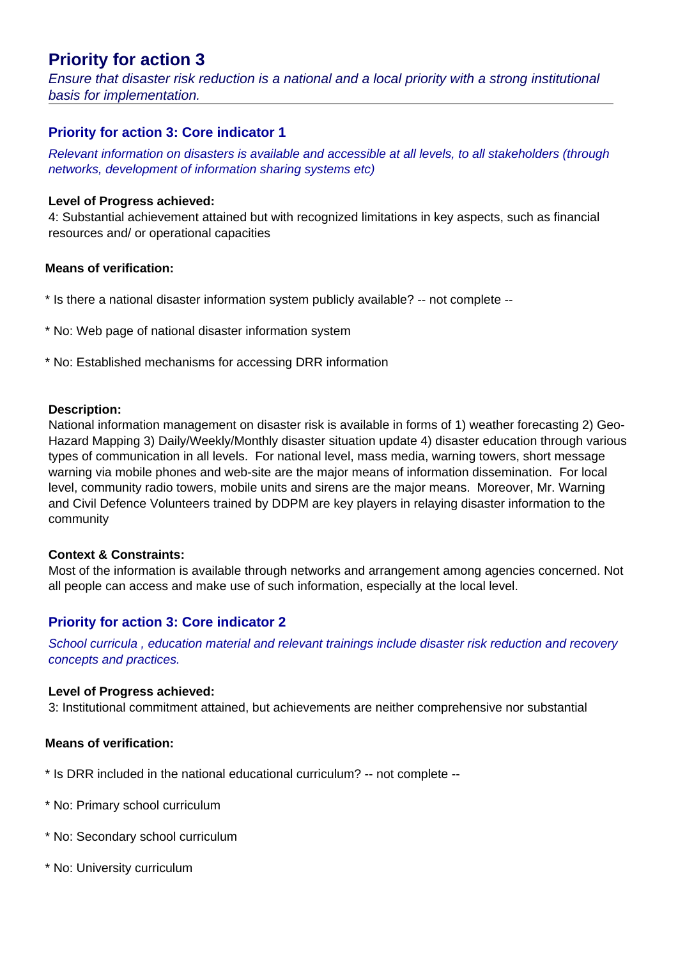## **Priority for action 3**

Ensure that disaster risk reduction is a national and a local priority with a strong institutional basis for implementation.

#### **Priority for action 3: Core indicator 1**

Relevant information on disasters is available and accessible at all levels, to all stakeholders (through networks, development of information sharing systems etc)

#### **Level of Progress achieved:**

4: Substantial achievement attained but with recognized limitations in key aspects, such as financial resources and/ or operational capacities

#### **Means of verification:**

- \* Is there a national disaster information system publicly available? -- not complete --
- \* No: Web page of national disaster information system
- \* No: Established mechanisms for accessing DRR information

#### **Description:**

National information management on disaster risk is available in forms of 1) weather forecasting 2) Geo-Hazard Mapping 3) Daily/Weekly/Monthly disaster situation update 4) disaster education through various types of communication in all levels. For national level, mass media, warning towers, short message warning via mobile phones and web-site are the major means of information dissemination. For local level, community radio towers, mobile units and sirens are the major means. Moreover, Mr. Warning and Civil Defence Volunteers trained by DDPM are key players in relaying disaster information to the community

#### **Context & Constraints:**

Most of the information is available through networks and arrangement among agencies concerned. Not all people can access and make use of such information, especially at the local level.

#### **Priority for action 3: Core indicator 2**

School curricula , education material and relevant trainings include disaster risk reduction and recovery concepts and practices.

#### **Level of Progress achieved:**

3: Institutional commitment attained, but achievements are neither comprehensive nor substantial

#### **Means of verification:**

- \* Is DRR included in the national educational curriculum? -- not complete --
- \* No: Primary school curriculum
- \* No: Secondary school curriculum
- \* No: University curriculum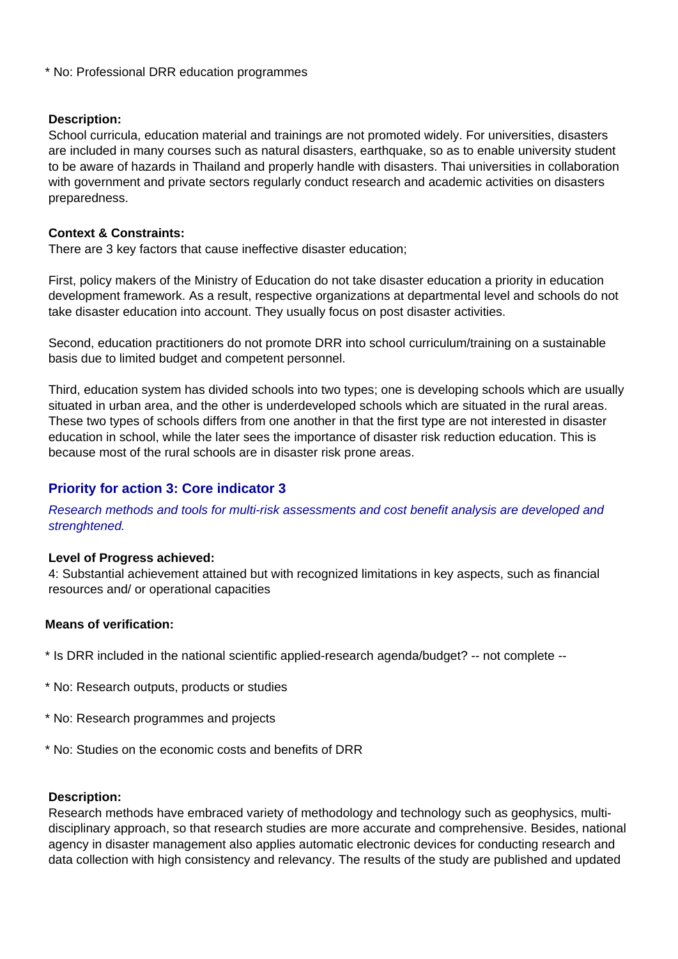\* No: Professional DRR education programmes

#### **Description:**

School curricula, education material and trainings are not promoted widely. For universities, disasters are included in many courses such as natural disasters, earthquake, so as to enable university student to be aware of hazards in Thailand and properly handle with disasters. Thai universities in collaboration with government and private sectors regularly conduct research and academic activities on disasters preparedness.

#### **Context & Constraints:**

There are 3 key factors that cause ineffective disaster education;

First, policy makers of the Ministry of Education do not take disaster education a priority in education development framework. As a result, respective organizations at departmental level and schools do not take disaster education into account. They usually focus on post disaster activities.

Second, education practitioners do not promote DRR into school curriculum/training on a sustainable basis due to limited budget and competent personnel.

Third, education system has divided schools into two types; one is developing schools which are usually situated in urban area, and the other is underdeveloped schools which are situated in the rural areas. These two types of schools differs from one another in that the first type are not interested in disaster education in school, while the later sees the importance of disaster risk reduction education. This is because most of the rural schools are in disaster risk prone areas.

#### **Priority for action 3: Core indicator 3**

Research methods and tools for multi-risk assessments and cost benefit analysis are developed and strenghtened.

#### **Level of Progress achieved:**

4: Substantial achievement attained but with recognized limitations in key aspects, such as financial resources and/ or operational capacities

#### **Means of verification:**

\* Is DRR included in the national scientific applied-research agenda/budget? -- not complete --

- \* No: Research outputs, products or studies
- \* No: Research programmes and projects
- \* No: Studies on the economic costs and benefits of DRR

#### **Description:**

Research methods have embraced variety of methodology and technology such as geophysics, multidisciplinary approach, so that research studies are more accurate and comprehensive. Besides, national agency in disaster management also applies automatic electronic devices for conducting research and data collection with high consistency and relevancy. The results of the study are published and updated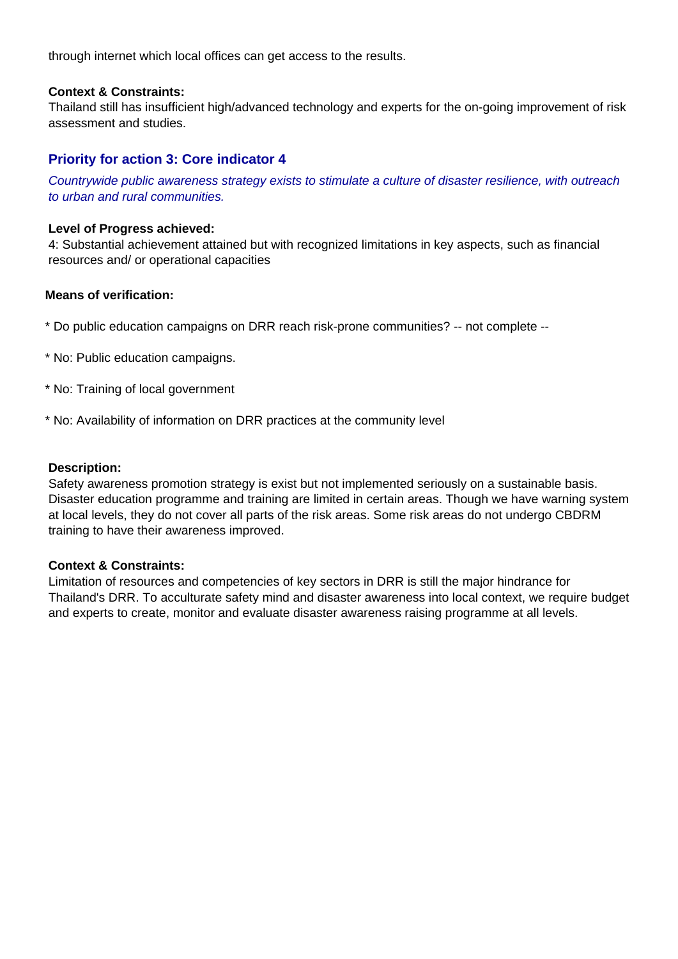through internet which local offices can get access to the results.

#### **Context & Constraints:**

Thailand still has insufficient high/advanced technology and experts for the on-going improvement of risk assessment and studies.

#### **Priority for action 3: Core indicator 4**

Countrywide public awareness strategy exists to stimulate a culture of disaster resilience, with outreach to urban and rural communities.

#### **Level of Progress achieved:**

4: Substantial achievement attained but with recognized limitations in key aspects, such as financial resources and/ or operational capacities

#### **Means of verification:**

\* Do public education campaigns on DRR reach risk-prone communities? -- not complete --

- \* No: Public education campaigns.
- \* No: Training of local government
- \* No: Availability of information on DRR practices at the community level

#### **Description:**

Safety awareness promotion strategy is exist but not implemented seriously on a sustainable basis. Disaster education programme and training are limited in certain areas. Though we have warning system at local levels, they do not cover all parts of the risk areas. Some risk areas do not undergo CBDRM training to have their awareness improved.

#### **Context & Constraints:**

Limitation of resources and competencies of key sectors in DRR is still the major hindrance for Thailand's DRR. To acculturate safety mind and disaster awareness into local context, we require budget and experts to create, monitor and evaluate disaster awareness raising programme at all levels.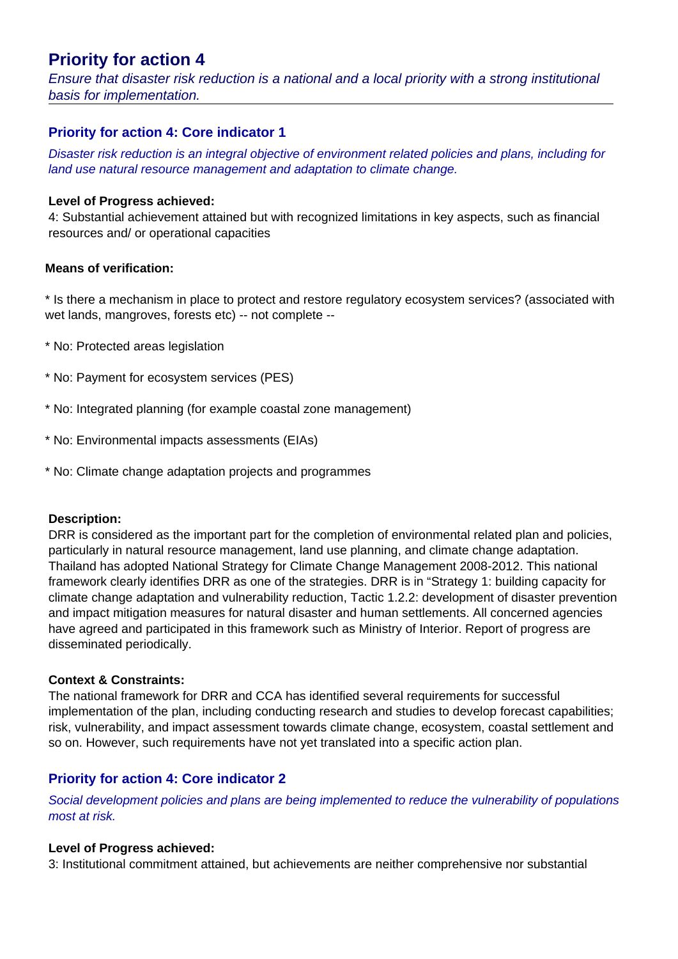## **Priority for action 4**

Ensure that disaster risk reduction is a national and a local priority with a strong institutional basis for implementation.

#### **Priority for action 4: Core indicator 1**

Disaster risk reduction is an integral objective of environment related policies and plans, including for land use natural resource management and adaptation to climate change.

#### **Level of Progress achieved:**

4: Substantial achievement attained but with recognized limitations in key aspects, such as financial resources and/ or operational capacities

#### **Means of verification:**

\* Is there a mechanism in place to protect and restore regulatory ecosystem services? (associated with wet lands, mangroves, forests etc) -- not complete --

- \* No: Protected areas legislation
- \* No: Payment for ecosystem services (PES)
- \* No: Integrated planning (for example coastal zone management)
- \* No: Environmental impacts assessments (EIAs)
- \* No: Climate change adaptation projects and programmes

#### **Description:**

DRR is considered as the important part for the completion of environmental related plan and policies, particularly in natural resource management, land use planning, and climate change adaptation. Thailand has adopted National Strategy for Climate Change Management 2008-2012. This national framework clearly identifies DRR as one of the strategies. DRR is in "Strategy 1: building capacity for climate change adaptation and vulnerability reduction, Tactic 1.2.2: development of disaster prevention and impact mitigation measures for natural disaster and human settlements. All concerned agencies have agreed and participated in this framework such as Ministry of Interior. Report of progress are disseminated periodically.

#### **Context & Constraints:**

The national framework for DRR and CCA has identified several requirements for successful implementation of the plan, including conducting research and studies to develop forecast capabilities; risk, vulnerability, and impact assessment towards climate change, ecosystem, coastal settlement and so on. However, such requirements have not yet translated into a specific action plan.

#### **Priority for action 4: Core indicator 2**

Social development policies and plans are being implemented to reduce the vulnerability of populations most at risk.

#### **Level of Progress achieved:**

3: Institutional commitment attained, but achievements are neither comprehensive nor substantial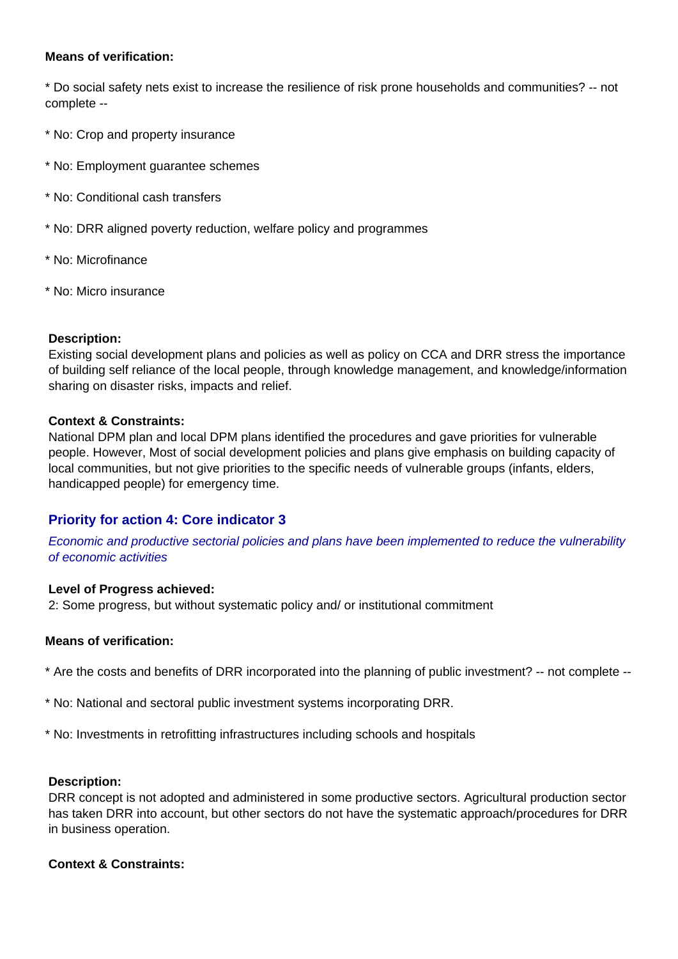#### **Means of verification:**

\* Do social safety nets exist to increase the resilience of risk prone households and communities? -- not complete --

- \* No: Crop and property insurance
- \* No: Employment guarantee schemes
- \* No: Conditional cash transfers
- \* No: DRR aligned poverty reduction, welfare policy and programmes
- \* No: Microfinance
- \* No: Micro insurance

#### **Description:**

Existing social development plans and policies as well as policy on CCA and DRR stress the importance of building self reliance of the local people, through knowledge management, and knowledge/information sharing on disaster risks, impacts and relief.

#### **Context & Constraints:**

National DPM plan and local DPM plans identified the procedures and gave priorities for vulnerable people. However, Most of social development policies and plans give emphasis on building capacity of local communities, but not give priorities to the specific needs of vulnerable groups (infants, elders, handicapped people) for emergency time.

#### **Priority for action 4: Core indicator 3**

Economic and productive sectorial policies and plans have been implemented to reduce the vulnerability of economic activities

#### **Level of Progress achieved:**

2: Some progress, but without systematic policy and/ or institutional commitment

#### **Means of verification:**

- \* Are the costs and benefits of DRR incorporated into the planning of public investment? -- not complete --
- \* No: National and sectoral public investment systems incorporating DRR.
- \* No: Investments in retrofitting infrastructures including schools and hospitals

#### **Description:**

DRR concept is not adopted and administered in some productive sectors. Agricultural production sector has taken DRR into account, but other sectors do not have the systematic approach/procedures for DRR in business operation.

#### **Context & Constraints:**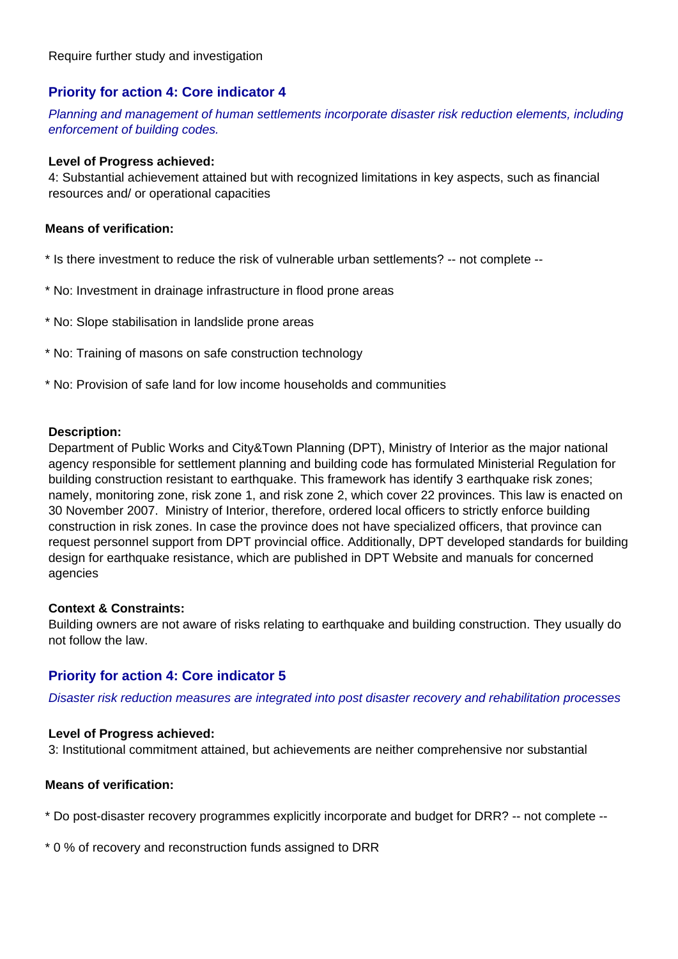#### **Priority for action 4: Core indicator 4**

Planning and management of human settlements incorporate disaster risk reduction elements, including enforcement of building codes.

#### **Level of Progress achieved:**

4: Substantial achievement attained but with recognized limitations in key aspects, such as financial resources and/ or operational capacities

#### **Means of verification:**

- \* Is there investment to reduce the risk of vulnerable urban settlements? -- not complete --
- \* No: Investment in drainage infrastructure in flood prone areas
- \* No: Slope stabilisation in landslide prone areas
- \* No: Training of masons on safe construction technology
- \* No: Provision of safe land for low income households and communities

#### **Description:**

Department of Public Works and City&Town Planning (DPT), Ministry of Interior as the major national agency responsible for settlement planning and building code has formulated Ministerial Regulation for building construction resistant to earthquake. This framework has identify 3 earthquake risk zones; namely, monitoring zone, risk zone 1, and risk zone 2, which cover 22 provinces. This law is enacted on 30 November 2007. Ministry of Interior, therefore, ordered local officers to strictly enforce building construction in risk zones. In case the province does not have specialized officers, that province can request personnel support from DPT provincial office. Additionally, DPT developed standards for building design for earthquake resistance, which are published in DPT Website and manuals for concerned agencies

#### **Context & Constraints:**

Building owners are not aware of risks relating to earthquake and building construction. They usually do not follow the law.

#### **Priority for action 4: Core indicator 5**

Disaster risk reduction measures are integrated into post disaster recovery and rehabilitation processes

#### **Level of Progress achieved:**

3: Institutional commitment attained, but achievements are neither comprehensive nor substantial

#### **Means of verification:**

\* Do post-disaster recovery programmes explicitly incorporate and budget for DRR? -- not complete --

\* 0 % of recovery and reconstruction funds assigned to DRR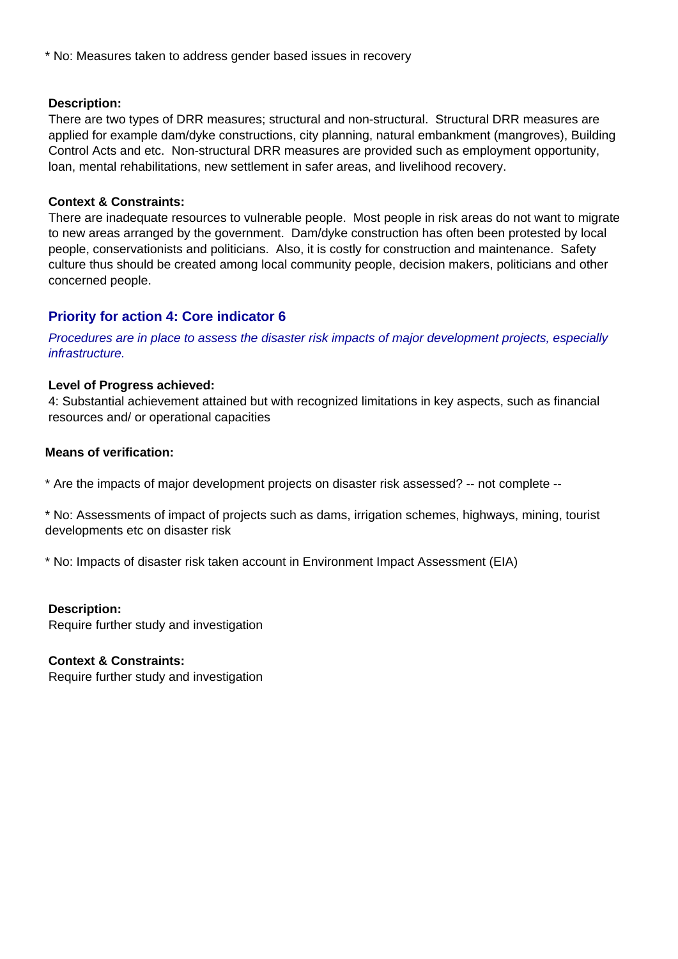\* No: Measures taken to address gender based issues in recovery

#### **Description:**

There are two types of DRR measures; structural and non-structural. Structural DRR measures are applied for example dam/dyke constructions, city planning, natural embankment (mangroves), Building Control Acts and etc. Non-structural DRR measures are provided such as employment opportunity, loan, mental rehabilitations, new settlement in safer areas, and livelihood recovery.

#### **Context & Constraints:**

There are inadequate resources to vulnerable people. Most people in risk areas do not want to migrate to new areas arranged by the government. Dam/dyke construction has often been protested by local people, conservationists and politicians. Also, it is costly for construction and maintenance. Safety culture thus should be created among local community people, decision makers, politicians and other concerned people.

#### **Priority for action 4: Core indicator 6**

Procedures are in place to assess the disaster risk impacts of major development projects, especially infrastructure.

#### **Level of Progress achieved:**

4: Substantial achievement attained but with recognized limitations in key aspects, such as financial resources and/ or operational capacities

#### **Means of verification:**

\* Are the impacts of major development projects on disaster risk assessed? -- not complete --

\* No: Assessments of impact of projects such as dams, irrigation schemes, highways, mining, tourist developments etc on disaster risk

\* No: Impacts of disaster risk taken account in Environment Impact Assessment (EIA)

#### **Description:**

Require further study and investigation

#### **Context & Constraints:**

Require further study and investigation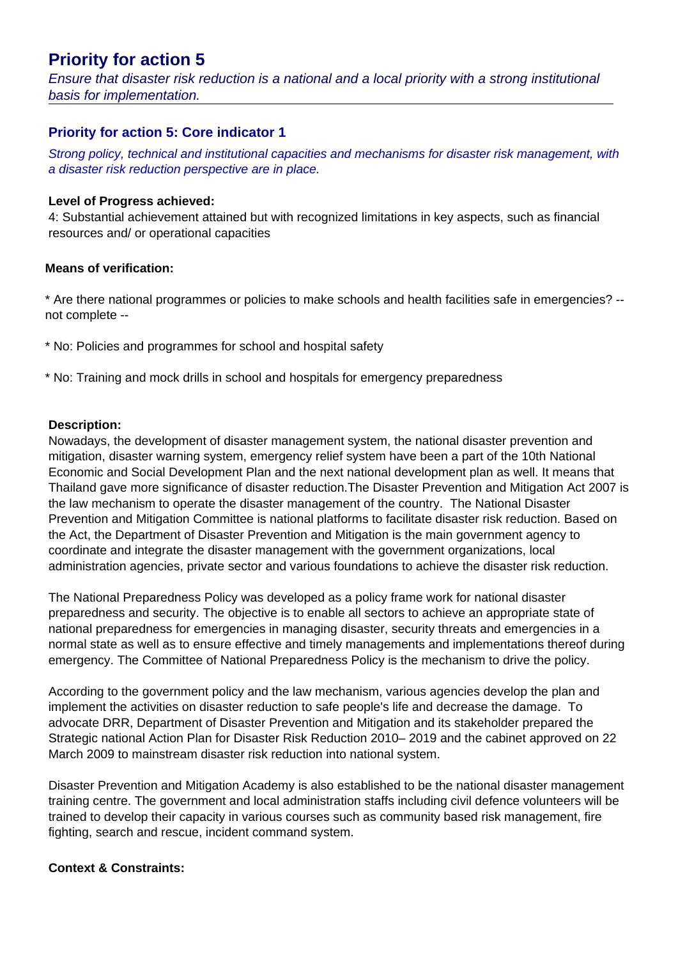## **Priority for action 5**

Ensure that disaster risk reduction is a national and a local priority with a strong institutional basis for implementation.

#### **Priority for action 5: Core indicator 1**

Strong policy, technical and institutional capacities and mechanisms for disaster risk management, with a disaster risk reduction perspective are in place.

#### **Level of Progress achieved:**

4: Substantial achievement attained but with recognized limitations in key aspects, such as financial resources and/ or operational capacities

#### **Means of verification:**

\* Are there national programmes or policies to make schools and health facilities safe in emergencies? - not complete --

- \* No: Policies and programmes for school and hospital safety
- \* No: Training and mock drills in school and hospitals for emergency preparedness

#### **Description:**

Nowadays, the development of disaster management system, the national disaster prevention and mitigation, disaster warning system, emergency relief system have been a part of the 10th National Economic and Social Development Plan and the next national development plan as well. It means that Thailand gave more significance of disaster reduction.The Disaster Prevention and Mitigation Act 2007 is the law mechanism to operate the disaster management of the country. The National Disaster Prevention and Mitigation Committee is national platforms to facilitate disaster risk reduction. Based on the Act, the Department of Disaster Prevention and Mitigation is the main government agency to coordinate and integrate the disaster management with the government organizations, local administration agencies, private sector and various foundations to achieve the disaster risk reduction.

The National Preparedness Policy was developed as a policy frame work for national disaster preparedness and security. The objective is to enable all sectors to achieve an appropriate state of national preparedness for emergencies in managing disaster, security threats and emergencies in a normal state as well as to ensure effective and timely managements and implementations thereof during emergency. The Committee of National Preparedness Policy is the mechanism to drive the policy.

According to the government policy and the law mechanism, various agencies develop the plan and implement the activities on disaster reduction to safe people's life and decrease the damage. To advocate DRR, Department of Disaster Prevention and Mitigation and its stakeholder prepared the Strategic national Action Plan for Disaster Risk Reduction 2010– 2019 and the cabinet approved on 22 March 2009 to mainstream disaster risk reduction into national system.

Disaster Prevention and Mitigation Academy is also established to be the national disaster management training centre. The government and local administration staffs including civil defence volunteers will be trained to develop their capacity in various courses such as community based risk management, fire fighting, search and rescue, incident command system.

#### **Context & Constraints:**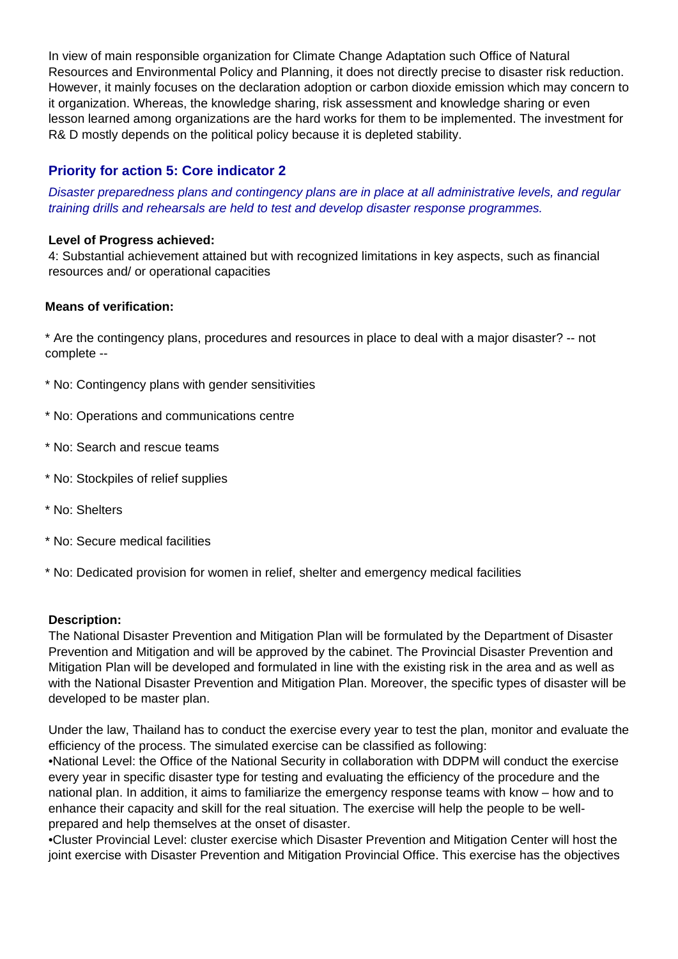In view of main responsible organization for Climate Change Adaptation such Office of Natural Resources and Environmental Policy and Planning, it does not directly precise to disaster risk reduction. However, it mainly focuses on the declaration adoption or carbon dioxide emission which may concern to it organization. Whereas, the knowledge sharing, risk assessment and knowledge sharing or even lesson learned among organizations are the hard works for them to be implemented. The investment for R& D mostly depends on the political policy because it is depleted stability.

#### **Priority for action 5: Core indicator 2**

Disaster preparedness plans and contingency plans are in place at all administrative levels, and regular training drills and rehearsals are held to test and develop disaster response programmes.

#### **Level of Progress achieved:**

4: Substantial achievement attained but with recognized limitations in key aspects, such as financial resources and/ or operational capacities

#### **Means of verification:**

\* Are the contingency plans, procedures and resources in place to deal with a major disaster? -- not complete --

- \* No: Contingency plans with gender sensitivities
- \* No: Operations and communications centre
- \* No: Search and rescue teams
- \* No: Stockpiles of relief supplies
- \* No: Shelters
- \* No: Secure medical facilities
- \* No: Dedicated provision for women in relief, shelter and emergency medical facilities

#### **Description:**

The National Disaster Prevention and Mitigation Plan will be formulated by the Department of Disaster Prevention and Mitigation and will be approved by the cabinet. The Provincial Disaster Prevention and Mitigation Plan will be developed and formulated in line with the existing risk in the area and as well as with the National Disaster Prevention and Mitigation Plan. Moreover, the specific types of disaster will be developed to be master plan.

Under the law, Thailand has to conduct the exercise every year to test the plan, monitor and evaluate the efficiency of the process. The simulated exercise can be classified as following:

• National Level: the Office of the National Security in collaboration with DDPM will conduct the exercise every year in specific disaster type for testing and evaluating the efficiency of the procedure and the national plan. In addition, it aims to familiarize the emergency response teams with know – how and to enhance their capacity and skill for the real situation. The exercise will help the people to be wellprepared and help themselves at the onset of disaster.

• Cluster Provincial Level: cluster exercise which Disaster Prevention and Mitigation Center will host the joint exercise with Disaster Prevention and Mitigation Provincial Office. This exercise has the objectives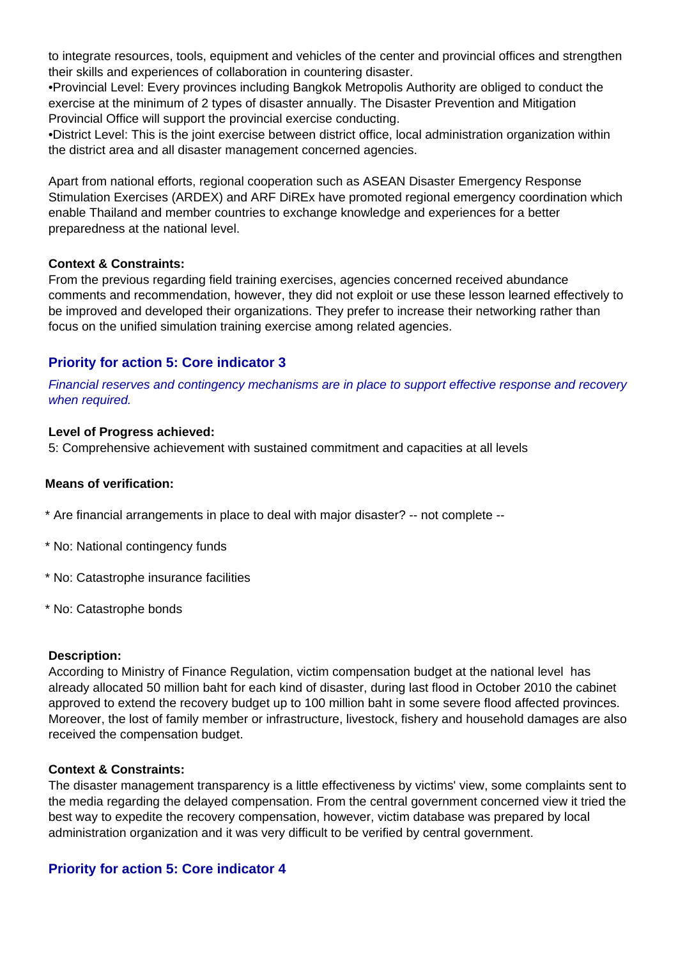to integrate resources, tools, equipment and vehicles of the center and provincial offices and strengthen their skills and experiences of collaboration in countering disaster.

• Provincial Level: Every provinces including Bangkok Metropolis Authority are obliged to conduct the exercise at the minimum of 2 types of disaster annually. The Disaster Prevention and Mitigation Provincial Office will support the provincial exercise conducting.

• District Level: This is the joint exercise between district office, local administration organization within the district area and all disaster management concerned agencies.

Apart from national efforts, regional cooperation such as ASEAN Disaster Emergency Response Stimulation Exercises (ARDEX) and ARF DiREx have promoted regional emergency coordination which enable Thailand and member countries to exchange knowledge and experiences for a better preparedness at the national level.

#### **Context & Constraints:**

From the previous regarding field training exercises, agencies concerned received abundance comments and recommendation, however, they did not exploit or use these lesson learned effectively to be improved and developed their organizations. They prefer to increase their networking rather than focus on the unified simulation training exercise among related agencies.

#### **Priority for action 5: Core indicator 3**

Financial reserves and contingency mechanisms are in place to support effective response and recovery when required.

#### **Level of Progress achieved:**

5: Comprehensive achievement with sustained commitment and capacities at all levels

#### **Means of verification:**

\* Are financial arrangements in place to deal with major disaster? -- not complete --

- \* No: National contingency funds
- \* No: Catastrophe insurance facilities
- \* No: Catastrophe bonds

#### **Description:**

According to Ministry of Finance Regulation, victim compensation budget at the national level has already allocated 50 million baht for each kind of disaster, during last flood in October 2010 the cabinet approved to extend the recovery budget up to 100 million baht in some severe flood affected provinces. Moreover, the lost of family member or infrastructure, livestock, fishery and household damages are also received the compensation budget.

#### **Context & Constraints:**

The disaster management transparency is a little effectiveness by victims' view, some complaints sent to the media regarding the delayed compensation. From the central government concerned view it tried the best way to expedite the recovery compensation, however, victim database was prepared by local administration organization and it was very difficult to be verified by central government.

#### **Priority for action 5: Core indicator 4**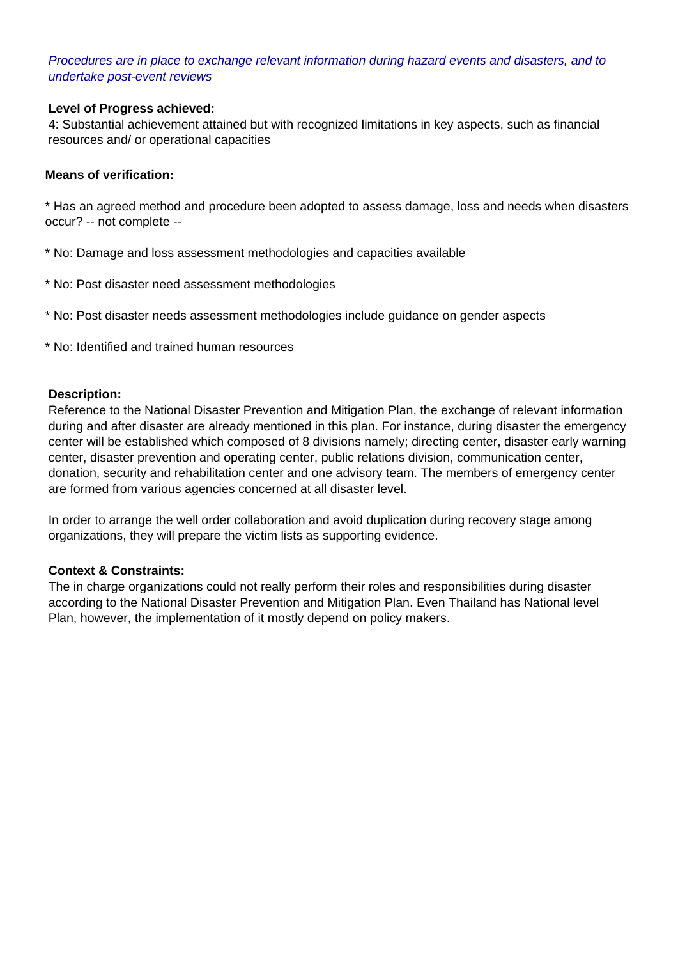#### Procedures are in place to exchange relevant information during hazard events and disasters, and to undertake post-event reviews

#### **Level of Progress achieved:**

4: Substantial achievement attained but with recognized limitations in key aspects, such as financial resources and/ or operational capacities

#### **Means of verification:**

\* Has an agreed method and procedure been adopted to assess damage, loss and needs when disasters occur? -- not complete --

- \* No: Damage and loss assessment methodologies and capacities available
- \* No: Post disaster need assessment methodologies
- \* No: Post disaster needs assessment methodologies include guidance on gender aspects
- \* No: Identified and trained human resources

#### **Description:**

Reference to the National Disaster Prevention and Mitigation Plan, the exchange of relevant information during and after disaster are already mentioned in this plan. For instance, during disaster the emergency center will be established which composed of 8 divisions namely; directing center, disaster early warning center, disaster prevention and operating center, public relations division, communication center, donation, security and rehabilitation center and one advisory team. The members of emergency center are formed from various agencies concerned at all disaster level.

In order to arrange the well order collaboration and avoid duplication during recovery stage among organizations, they will prepare the victim lists as supporting evidence.

#### **Context & Constraints:**

The in charge organizations could not really perform their roles and responsibilities during disaster according to the National Disaster Prevention and Mitigation Plan. Even Thailand has National level Plan, however, the implementation of it mostly depend on policy makers.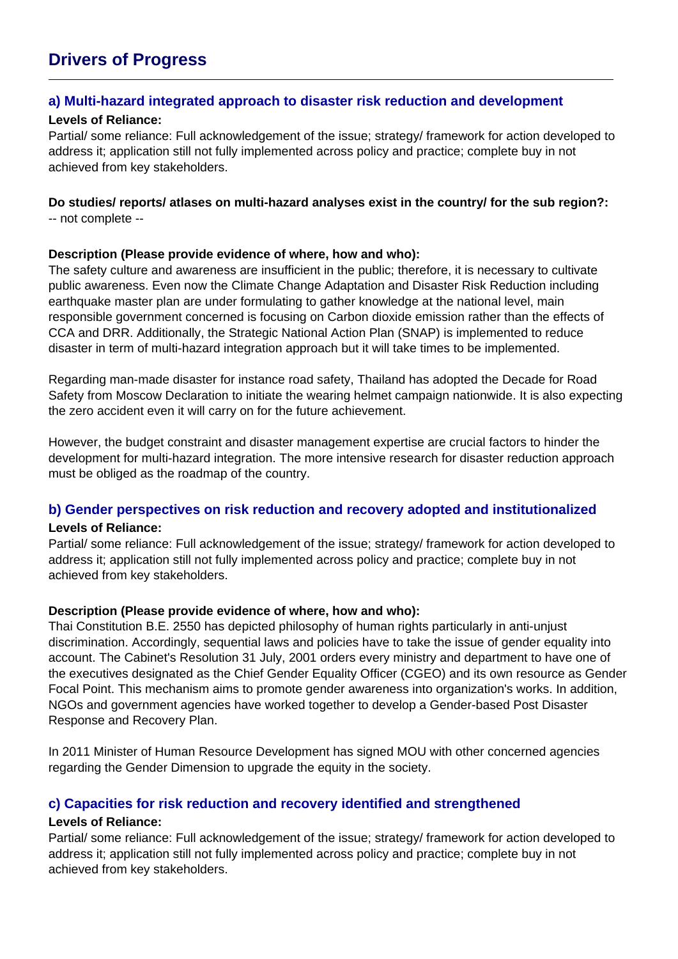## **Drivers of Progress**

#### **a) Multi-hazard integrated approach to disaster risk reduction and development**

#### **Levels of Reliance:**

Partial/ some reliance: Full acknowledgement of the issue; strategy/ framework for action developed to address it; application still not fully implemented across policy and practice; complete buy in not achieved from key stakeholders.

## **Do studies/ reports/ atlases on multi-hazard analyses exist in the country/ for the sub region?:**

-- not complete --

#### **Description (Please provide evidence of where, how and who):**

The safety culture and awareness are insufficient in the public; therefore, it is necessary to cultivate public awareness. Even now the Climate Change Adaptation and Disaster Risk Reduction including earthquake master plan are under formulating to gather knowledge at the national level, main responsible government concerned is focusing on Carbon dioxide emission rather than the effects of CCA and DRR. Additionally, the Strategic National Action Plan (SNAP) is implemented to reduce disaster in term of multi-hazard integration approach but it will take times to be implemented.

Regarding man-made disaster for instance road safety, Thailand has adopted the Decade for Road Safety from Moscow Declaration to initiate the wearing helmet campaign nationwide. It is also expecting the zero accident even it will carry on for the future achievement.

However, the budget constraint and disaster management expertise are crucial factors to hinder the development for multi-hazard integration. The more intensive research for disaster reduction approach must be obliged as the roadmap of the country.

#### **b) Gender perspectives on risk reduction and recovery adopted and institutionalized**

#### **Levels of Reliance:**

Partial/ some reliance: Full acknowledgement of the issue; strategy/ framework for action developed to address it; application still not fully implemented across policy and practice; complete buy in not achieved from key stakeholders.

#### **Description (Please provide evidence of where, how and who):**

Thai Constitution B.E. 2550 has depicted philosophy of human rights particularly in anti-unjust discrimination. Accordingly, sequential laws and policies have to take the issue of gender equality into account. The Cabinet's Resolution 31 July, 2001 orders every ministry and department to have one of the executives designated as the Chief Gender Equality Officer (CGEO) and its own resource as Gender Focal Point. This mechanism aims to promote gender awareness into organization's works. In addition, NGOs and government agencies have worked together to develop a Gender-based Post Disaster Response and Recovery Plan.

In 2011 Minister of Human Resource Development has signed MOU with other concerned agencies regarding the Gender Dimension to upgrade the equity in the society.

#### **c) Capacities for risk reduction and recovery identified and strengthened**

#### **Levels of Reliance:**

Partial/ some reliance: Full acknowledgement of the issue; strategy/ framework for action developed to address it; application still not fully implemented across policy and practice; complete buy in not achieved from key stakeholders.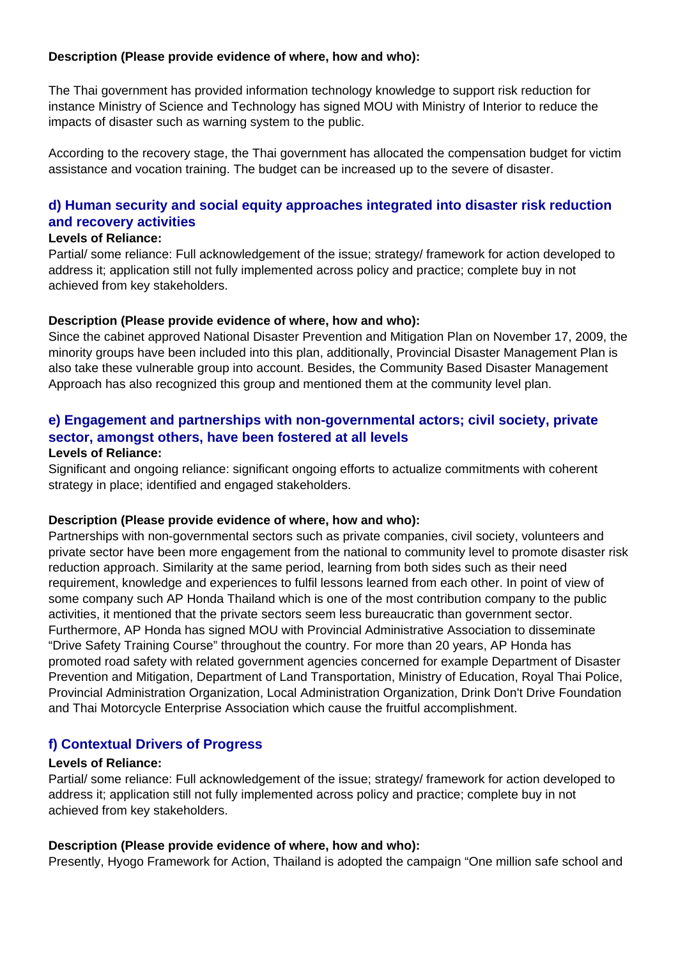#### **Description (Please provide evidence of where, how and who):**

The Thai government has provided information technology knowledge to support risk reduction for instance Ministry of Science and Technology has signed MOU with Ministry of Interior to reduce the impacts of disaster such as warning system to the public.

According to the recovery stage, the Thai government has allocated the compensation budget for victim assistance and vocation training. The budget can be increased up to the severe of disaster.

#### **d) Human security and social equity approaches integrated into disaster risk reduction and recovery activities**

#### **Levels of Reliance:**

Partial/ some reliance: Full acknowledgement of the issue; strategy/ framework for action developed to address it; application still not fully implemented across policy and practice; complete buy in not achieved from key stakeholders.

#### **Description (Please provide evidence of where, how and who):**

Since the cabinet approved National Disaster Prevention and Mitigation Plan on November 17, 2009, the minority groups have been included into this plan, additionally, Provincial Disaster Management Plan is also take these vulnerable group into account. Besides, the Community Based Disaster Management Approach has also recognized this group and mentioned them at the community level plan.

### **e) Engagement and partnerships with non-governmental actors; civil society, private sector, amongst others, have been fostered at all levels**

#### **Levels of Reliance:**

Significant and ongoing reliance: significant ongoing efforts to actualize commitments with coherent strategy in place; identified and engaged stakeholders.

#### **Description (Please provide evidence of where, how and who):**

Partnerships with non-governmental sectors such as private companies, civil society, volunteers and private sector have been more engagement from the national to community level to promote disaster risk reduction approach. Similarity at the same period, learning from both sides such as their need requirement, knowledge and experiences to fulfil lessons learned from each other. In point of view of some company such AP Honda Thailand which is one of the most contribution company to the public activities, it mentioned that the private sectors seem less bureaucratic than government sector. Furthermore, AP Honda has signed MOU with Provincial Administrative Association to disseminate "Drive Safety Training Course" throughout the country. For more than 20 years, AP Honda has promoted road safety with related government agencies concerned for example Department of Disaster Prevention and Mitigation, Department of Land Transportation, Ministry of Education, Royal Thai Police, Provincial Administration Organization, Local Administration Organization, Drink Don't Drive Foundation and Thai Motorcycle Enterprise Association which cause the fruitful accomplishment.

#### **f) Contextual Drivers of Progress**

#### **Levels of Reliance:**

Partial/ some reliance: Full acknowledgement of the issue; strategy/ framework for action developed to address it; application still not fully implemented across policy and practice; complete buy in not achieved from key stakeholders.

#### **Description (Please provide evidence of where, how and who):**

Presently, Hyogo Framework for Action, Thailand is adopted the campaign "One million safe school and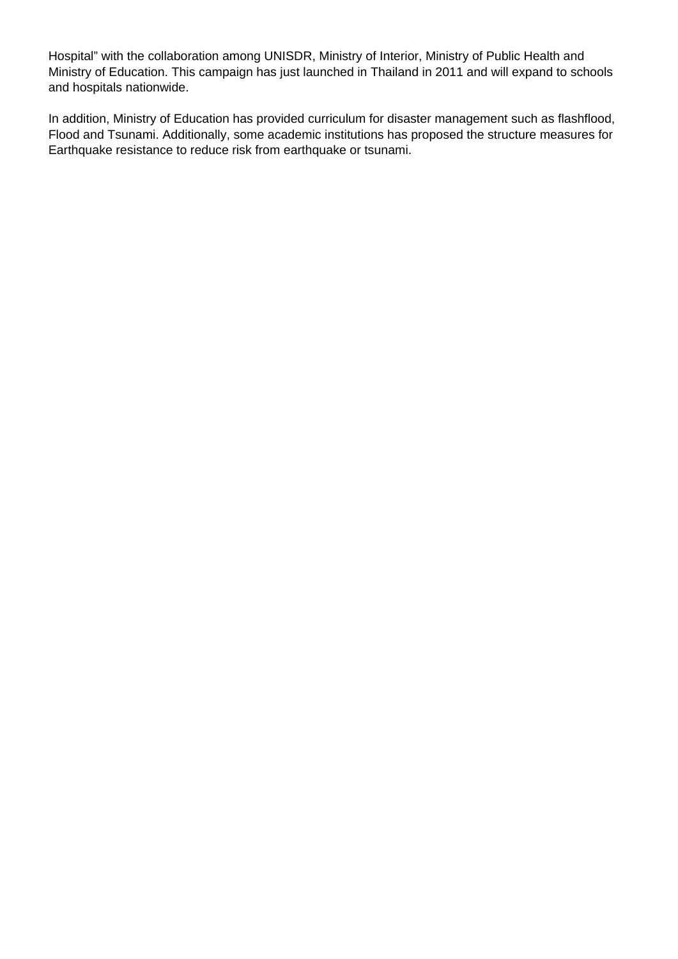Hospital" with the collaboration among UNISDR, Ministry of Interior, Ministry of Public Health and Ministry of Education. This campaign has just launched in Thailand in 2011 and will expand to schools and hospitals nationwide.

In addition, Ministry of Education has provided curriculum for disaster management such as flashflood, Flood and Tsunami. Additionally, some academic institutions has proposed the structure measures for Earthquake resistance to reduce risk from earthquake or tsunami.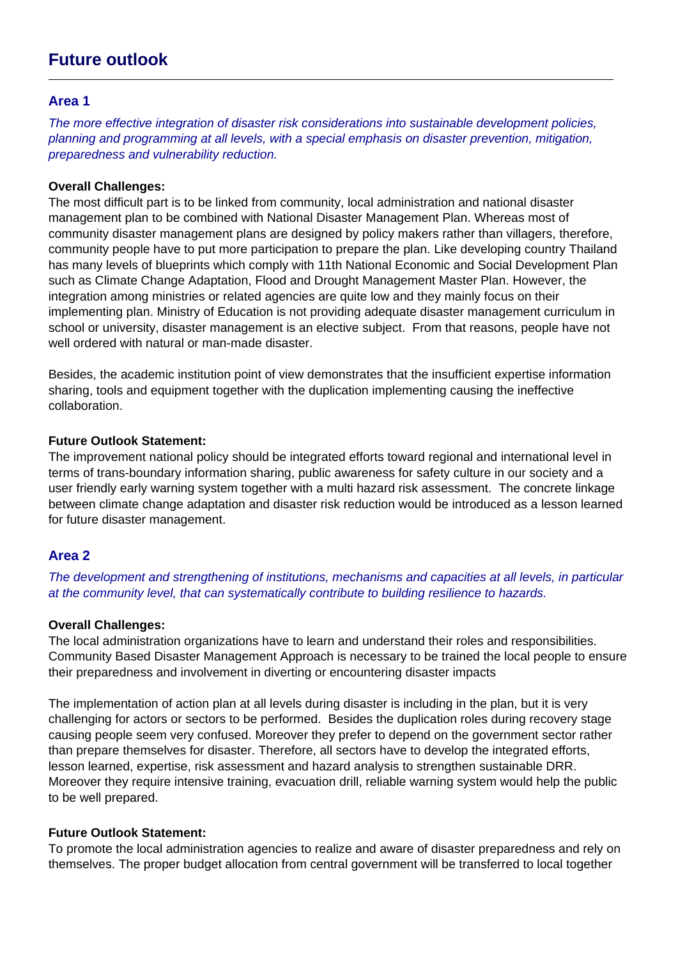## **Future outlook**

#### **Area 1**

The more effective integration of disaster risk considerations into sustainable development policies, planning and programming at all levels, with a special emphasis on disaster prevention, mitigation, preparedness and vulnerability reduction.

#### **Overall Challenges:**

The most difficult part is to be linked from community, local administration and national disaster management plan to be combined with National Disaster Management Plan. Whereas most of community disaster management plans are designed by policy makers rather than villagers, therefore, community people have to put more participation to prepare the plan. Like developing country Thailand has many levels of blueprints which comply with 11th National Economic and Social Development Plan such as Climate Change Adaptation, Flood and Drought Management Master Plan. However, the integration among ministries or related agencies are quite low and they mainly focus on their implementing plan. Ministry of Education is not providing adequate disaster management curriculum in school or university, disaster management is an elective subject. From that reasons, people have not well ordered with natural or man-made disaster.

Besides, the academic institution point of view demonstrates that the insufficient expertise information sharing, tools and equipment together with the duplication implementing causing the ineffective collaboration.

#### **Future Outlook Statement:**

The improvement national policy should be integrated efforts toward regional and international level in terms of trans-boundary information sharing, public awareness for safety culture in our society and a user friendly early warning system together with a multi hazard risk assessment. The concrete linkage between climate change adaptation and disaster risk reduction would be introduced as a lesson learned for future disaster management.

#### **Area 2**

The development and strengthening of institutions, mechanisms and capacities at all levels, in particular at the community level, that can systematically contribute to building resilience to hazards.

#### **Overall Challenges:**

The local administration organizations have to learn and understand their roles and responsibilities. Community Based Disaster Management Approach is necessary to be trained the local people to ensure their preparedness and involvement in diverting or encountering disaster impacts

The implementation of action plan at all levels during disaster is including in the plan, but it is very challenging for actors or sectors to be performed. Besides the duplication roles during recovery stage causing people seem very confused. Moreover they prefer to depend on the government sector rather than prepare themselves for disaster. Therefore, all sectors have to develop the integrated efforts, lesson learned, expertise, risk assessment and hazard analysis to strengthen sustainable DRR. Moreover they require intensive training, evacuation drill, reliable warning system would help the public to be well prepared.

#### **Future Outlook Statement:**

To promote the local administration agencies to realize and aware of disaster preparedness and rely on themselves. The proper budget allocation from central government will be transferred to local together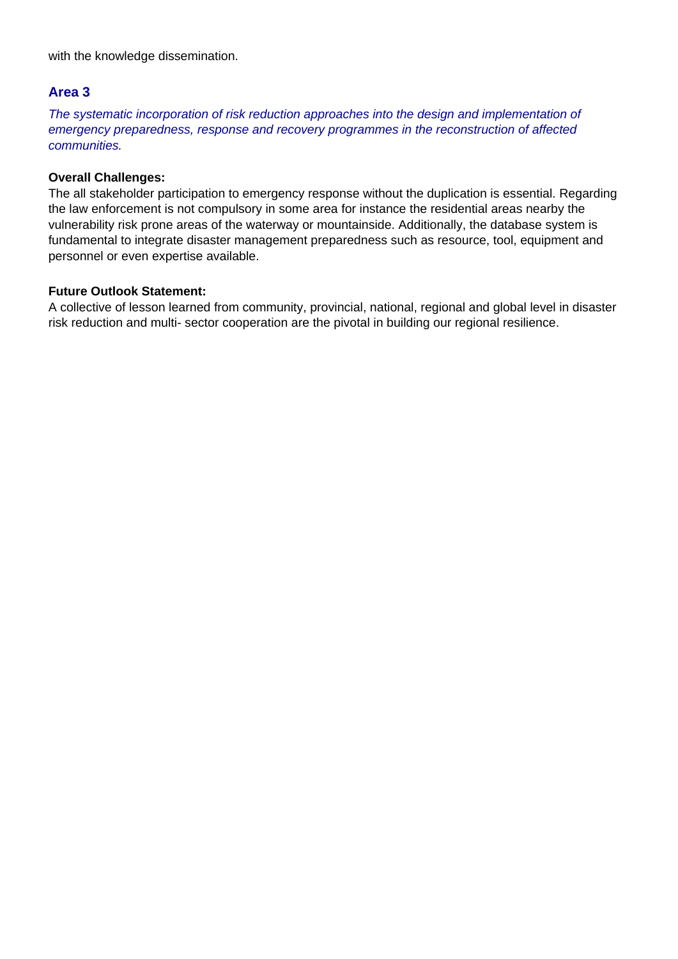with the knowledge dissemination.

#### **Area 3**

The systematic incorporation of risk reduction approaches into the design and implementation of emergency preparedness, response and recovery programmes in the reconstruction of affected communities.

#### **Overall Challenges:**

The all stakeholder participation to emergency response without the duplication is essential. Regarding the law enforcement is not compulsory in some area for instance the residential areas nearby the vulnerability risk prone areas of the waterway or mountainside. Additionally, the database system is fundamental to integrate disaster management preparedness such as resource, tool, equipment and personnel or even expertise available.

#### **Future Outlook Statement:**

A collective of lesson learned from community, provincial, national, regional and global level in disaster risk reduction and multi- sector cooperation are the pivotal in building our regional resilience.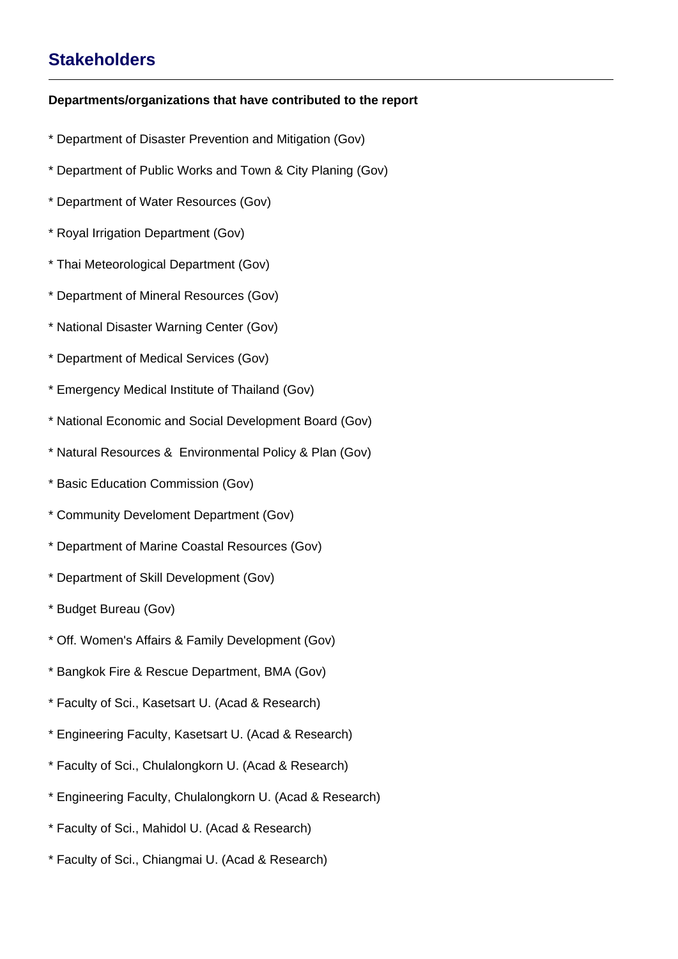## **Stakeholders**

#### **Departments/organizations that have contributed to the report**

- \* Department of Disaster Prevention and Mitigation (Gov)
- \* Department of Public Works and Town & City Planing (Gov)
- \* Department of Water Resources (Gov)
- \* Royal Irrigation Department (Gov)
- \* Thai Meteorological Department (Gov)
- \* Department of Mineral Resources (Gov)
- \* National Disaster Warning Center (Gov)
- \* Department of Medical Services (Gov)
- \* Emergency Medical Institute of Thailand (Gov)
- \* National Economic and Social Development Board (Gov)
- \* Natural Resources & Environmental Policy & Plan (Gov)
- \* Basic Education Commission (Gov)
- \* Community Develoment Department (Gov)
- \* Department of Marine Coastal Resources (Gov)
- \* Department of Skill Development (Gov)
- \* Budget Bureau (Gov)
- \* Off. Women's Affairs & Family Development (Gov)
- \* Bangkok Fire & Rescue Department, BMA (Gov)
- \* Faculty of Sci., Kasetsart U. (Acad & Research)
- \* Engineering Faculty, Kasetsart U. (Acad & Research)
- \* Faculty of Sci., Chulalongkorn U. (Acad & Research)
- \* Engineering Faculty, Chulalongkorn U. (Acad & Research)
- \* Faculty of Sci., Mahidol U. (Acad & Research)
- \* Faculty of Sci., Chiangmai U. (Acad & Research)